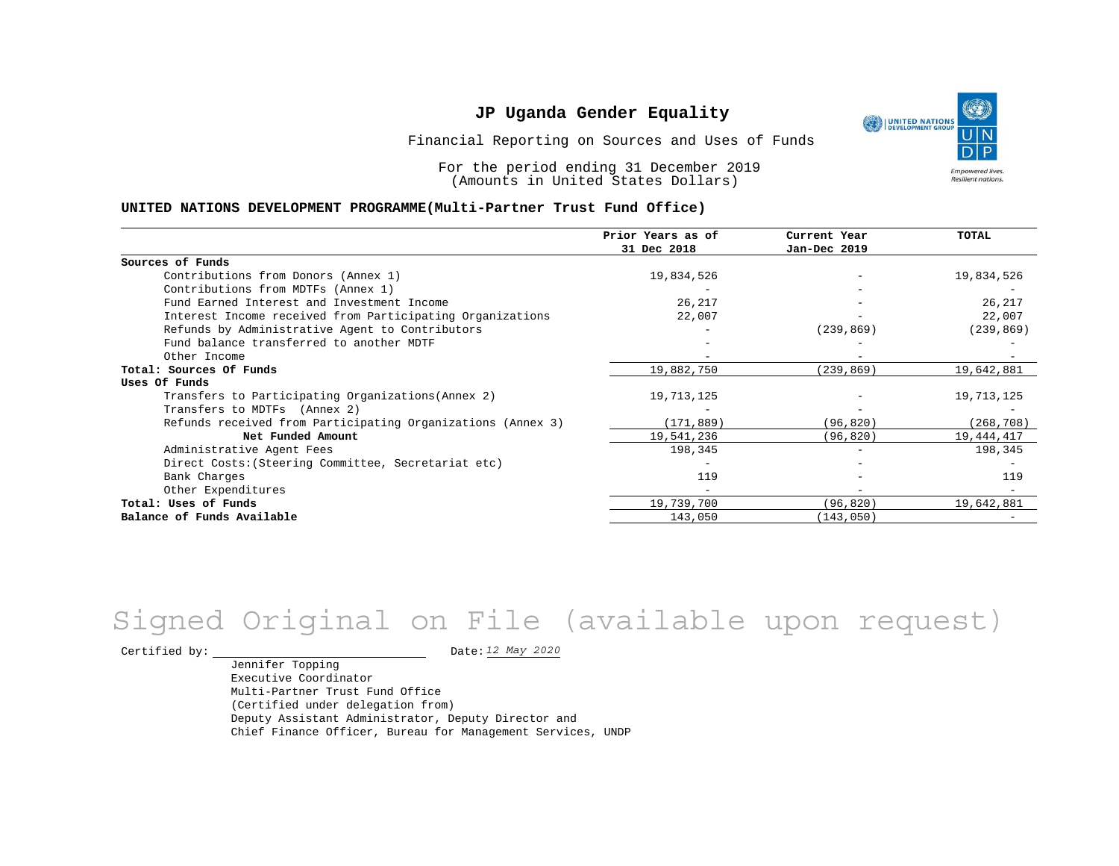UNITED NATIONS **Empowered lives** Resilient nations.

Financial Reporting on Sources and Uses of Funds

For the period ending 31 December 2019 (Amounts in United States Dollars)

#### **UNITED NATIONS DEVELOPMENT PROGRAMME(Multi-Partner Trust Fund Office)**

|                                                             | Prior Years as of<br>31 Dec 2018 | Current Year<br>Jan-Dec 2019 | TOTAL      |
|-------------------------------------------------------------|----------------------------------|------------------------------|------------|
|                                                             |                                  |                              |            |
| Sources of Funds                                            |                                  |                              |            |
| Contributions from Donors (Annex 1)                         | 19,834,526                       |                              | 19,834,526 |
| Contributions from MDTFs (Annex 1)                          |                                  |                              |            |
| Fund Earned Interest and Investment Income                  | 26,217                           |                              | 26,217     |
| Interest Income received from Participating Organizations   | 22,007                           |                              | 22,007     |
| Refunds by Administrative Agent to Contributors             |                                  | (239, 869)                   | (239, 869) |
| Fund balance transferred to another MDTF                    |                                  |                              |            |
| Other Income                                                |                                  |                              |            |
| Total: Sources Of Funds                                     | 19,882,750                       | (239, 869)                   | 19,642,881 |
| Uses Of Funds                                               |                                  |                              |            |
| Transfers to Participating Organizations (Annex 2)          | 19,713,125                       |                              | 19,713,125 |
| Transfers to MDTFs (Annex 2)                                |                                  |                              |            |
| Refunds received from Participating Organizations (Annex 3) | (171, 889)                       | (96, 820)                    | (268, 708) |
| Net Funded Amount                                           | 19,541,236                       | (96, 820)                    | 19,444,417 |
| Administrative Agent Fees                                   | 198,345                          |                              | 198,345    |
| Direct Costs: (Steering Committee, Secretariat etc)         |                                  |                              |            |
| Bank Charges                                                | 119                              |                              | 119        |
| Other Expenditures                                          |                                  |                              |            |
| Total: Uses of Funds                                        | 19,739,700                       | (96, 820)                    | 19,642,881 |
| Balance of Funds Available                                  | 143,050                          | (143, 050)                   |            |

# Signed Original on File (available upon request)

Certified by: Date:

Jennifer Topping Executive Coordinator Multi-Partner Trust Fund Office (Certified under delegation from) Deputy Assistant Administrator, Deputy Director and Chief Finance Officer, Bureau for Management Services, UNDP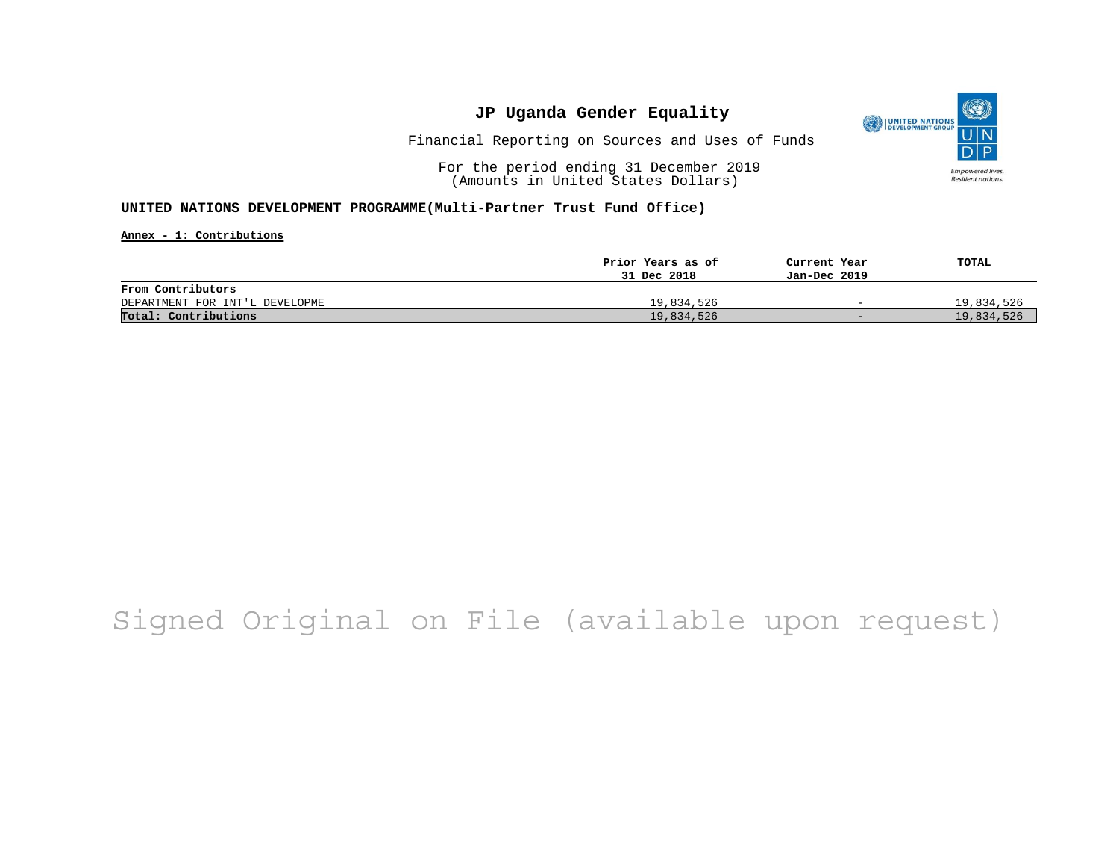

Financial Reporting on Sources and Uses of Funds

For the period ending 31 December 2019 (Amounts in United States Dollars)

#### **UNITED NATIONS DEVELOPMENT PROGRAMME(Multi-Partner Trust Fund Office)**

**Annex - 1: Contributions**

|                                | Prior Years as of | Current Year             | TOTAL      |
|--------------------------------|-------------------|--------------------------|------------|
|                                | 31 Dec 2018       | Jan-Dec 2019             |            |
| From Contributors              |                   |                          |            |
| DEPARTMENT FOR INT'L DEVELOPME | 19,834,526        | $\overline{\phantom{0}}$ | 19,834,526 |
| Total: Contributions           | 19,834,526        | $-$                      | 19,834,526 |

## Signed Original on File (available upon request)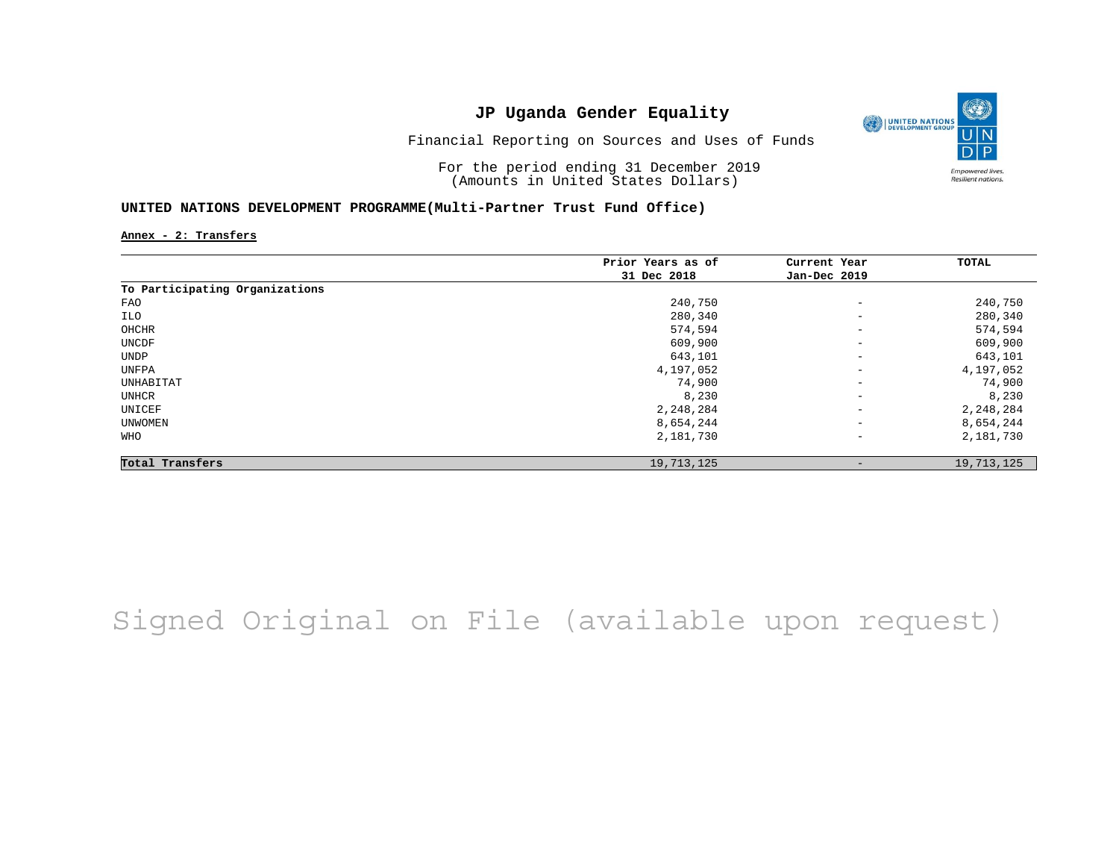

Financial Reporting on Sources and Uses of Funds

For the period ending 31 December 2019 (Amounts in United States Dollars)

#### **UNITED NATIONS DEVELOPMENT PROGRAMME(Multi-Partner Trust Fund Office)**

**Annex - 2: Transfers**

|                                | Prior Years as of | Current Year             | TOTAL      |
|--------------------------------|-------------------|--------------------------|------------|
|                                | 31 Dec 2018       | Jan-Dec 2019             |            |
| To Participating Organizations |                   |                          |            |
| FAO                            | 240,750           | $\qquad \qquad -$        | 240,750    |
| ILO                            | 280,340           | $\qquad \qquad -$        | 280,340    |
| OHCHR                          | 574,594           | $\qquad \qquad -$        | 574,594    |
| UNCDF                          | 609,900           | $\overline{\phantom{a}}$ | 609,900    |
| UNDP                           | 643,101           | $\qquad \qquad -$        | 643,101    |
| UNFPA                          | 4,197,052         | $\overline{\phantom{a}}$ | 4,197,052  |
| UNHABITAT                      | 74,900            | $\qquad \qquad -$        | 74,900     |
| UNHCR                          | 8,230             | $\qquad \qquad -$        | 8,230      |
| UNICEF                         | 2,248,284         | $\qquad \qquad -$        | 2,248,284  |
| UNWOMEN                        | 8,654,244         | $\overline{\phantom{a}}$ | 8,654,244  |
| WHO                            | 2,181,730         | $\qquad \qquad -$        | 2,181,730  |
| Total Transfers                | 19,713,125        | $\qquad \qquad$          | 19,713,125 |

## Signed Original on File (available upon request)